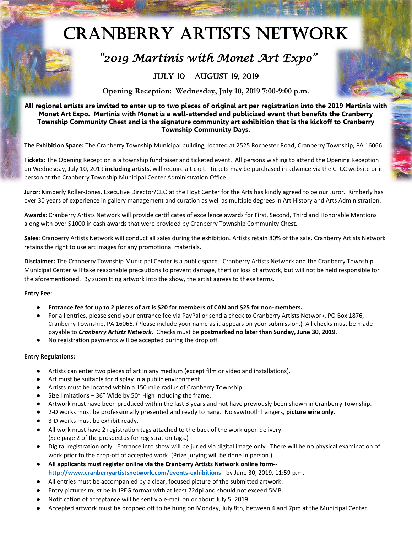# Cranberry Artists Network



## *"2019 Martinis with Monet Art Expo "*

### July 10 – August 19, 2019

**Opening Reception: Wednesday, July 10, 2019 7:00-9:00 p.m.**

**All regional artists are invited to enter up to two pieces of original art per registration into the 2019 Martinis with Monet Art Expo. Martinis with Monet is a well-attended and publicized event that benefits the Cranberry Township Community Chest and is the signature community art exhibition that is the kickoff to Cranberry Township Community Days.**

**The Exhibition Space:** The Cranberry Township Municipal building, located at 2525 Rochester Road, Cranberry Township, PA 16066.

**Tickets:** The Opening Reception is a township fundraiser and ticketed event. All persons wishing to attend the Opening Reception on Wednesday, July 10, 2019 **including artists**, will require a ticket. Tickets may be purchased in advance via the CTCC website or in person at the Cranberry Township Municipal Center Administration Office.

**Juror**: Kimberly Koller-Jones, Executive Director/CEO at the Hoyt Center for the Arts has kindly agreed to be our Juror. Kimberly has over 30 years of experience in gallery management and curation as well as multiple degrees in Art History and Arts Administration.

**Awards**: Cranberry Artists Network will provide certificates of excellence awards for First, Second, Third and Honorable Mentions along with over \$1000 in cash awards that were provided by Cranberry Township Community Chest.

**Sales**: Cranberry Artists Network will conduct all sales during the exhibition. Artists retain 80% of the sale. Cranberry Artists Network retains the right to use art images for any promotional materials.

**Disclaimer:** The Cranberry Township Municipal Center is a public space. Cranberry Artists Network and the Cranberry Township Municipal Center will take reasonable precautions to prevent damage, theft or loss of artwork, but will not be held responsible for the aforementioned. By submitting artwork into the show, the artist agrees to these terms.

#### **Entry Fee**:

- **Entrance fee for up to 2 pieces of art is \$20 for members of CAN and \$25 for non-members.**
- For all entries, please send your entrance fee via PayPal or send a check to Cranberry Artists Network, PO Box 1876, Cranberry Township, PA 16066. (Please include your name as it appears on your submission.) All checks must be made payable to *Cranberry Artists Network*. Checks must be **postmarked no later than Sunday, June 30, 2019**.
- No registration payments will be accepted during the drop off.

#### **Entry Regulations:**

- Artists can enter two pieces of art in any medium (except film or video and installations).
- Art must be suitable for display in a public environment.
- Artists must be located within a 150 mile radius of Cranberry Township.
- Size limitations  $-36''$  Wide by 50" High including the frame.
- Artwork must have been produced within the last 3 years and not have previously been shown in Cranberry Township.
- 2-D works must be professionally presented and ready to hang. No sawtooth hangers, **picture wire only**.
- 3-D works must be exhibit ready.
- All work must have 2 registration tags attached to the back of the work upon delivery. (See page 2 of the prospectus for registration tags.)
- Digital registration only. Entrance into show will be juried via digital image only. There will be no physical examination of work prior to the drop-off of accepted work. (Prize jurying will be done in person.)
- **All applicants must register online via the Cranberry Artists Network online form- [http://www.cranberryartistsnetwork.com/events-exhibitions](http://www.cranberryartistsnetwork.com/martinis2019)** - by June 30, 2019, 11:59 p.m.
- All entries must be accompanied by a clear, focused picture of the submitted artwork.
- Entry pictures must be in JPEG format with at least 72dpi and should not exceed 5MB.
- Notification of acceptance will be sent via e-mail on or about July 5, 2019.
- Accepted artwork must be dropped off to be hung on Monday, July 8th, between 4 and 7pm at the Municipal Center.